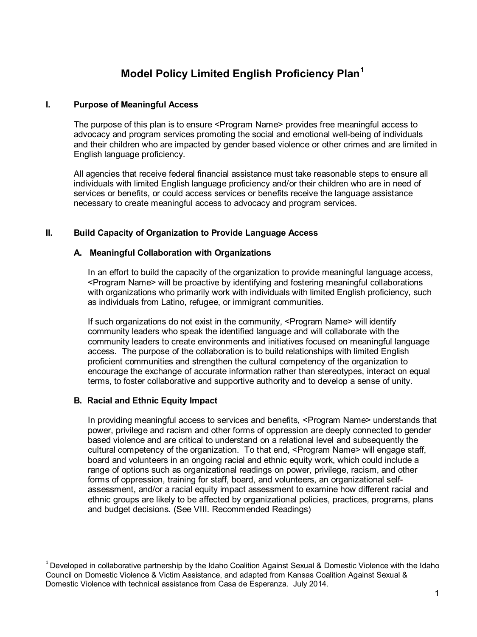# **Model Policy Limited English Proficiency Plan[1](#page-0-0)**

### **I. Purpose of Meaningful Access**

The purpose of this plan is to ensure <Program Name> provides free meaningful access to advocacy and program services promoting the social and emotional well-being of individuals and their children who are impacted by gender based violence or other crimes and are limited in English language proficiency.

All agencies that receive federal financial assistance must take reasonable steps to ensure all individuals with limited English language proficiency and/or their children who are in need of services or benefits, or could access services or benefits receive the language assistance necessary to create meaningful access to advocacy and program services.

#### **II. Build Capacity of Organization to Provide Language Access**

#### **A. Meaningful Collaboration with Organizations**

In an effort to build the capacity of the organization to provide meaningful language access, <Program Name> will be proactive by identifying and fostering meaningful collaborations with organizations who primarily work with individuals with limited English proficiency, such as individuals from Latino, refugee, or immigrant communities.

If such organizations do not exist in the community, <Program Name> will identify community leaders who speak the identified language and will collaborate with the community leaders to create environments and initiatives focused on meaningful language access. The purpose of the collaboration is to build relationships with limited English proficient communities and strengthen the cultural competency of the organization to encourage the exchange of accurate information rather than stereotypes, interact on equal terms, to foster collaborative and supportive authority and to develop a sense of unity.

## **B. Racial and Ethnic Equity Impact**

In providing meaningful access to services and benefits, <Program Name> understands that power, privilege and racism and other forms of oppression are deeply connected to gender based violence and are critical to understand on a relational level and subsequently the cultural competency of the organization. To that end, <Program Name> will engage staff, board and volunteers in an ongoing racial and ethnic equity work, which could include a range of options such as organizational readings on power, privilege, racism, and other forms of oppression, training for staff, board, and volunteers, an organizational selfassessment, and/or a racial equity impact assessment to examine how different racial and ethnic groups are likely to be affected by organizational policies, practices, programs, plans and budget decisions. (See VIII. Recommended Readings)

<span id="page-0-0"></span> $1$  Developed in collaborative partnership by the Idaho Coalition Against Sexual & Domestic Violence with the Idaho Council on Domestic Violence & Victim Assistance, and adapted from Kansas Coalition Against Sexual & Domestic Violence with technical assistance from Casa de Esperanza. July 2014.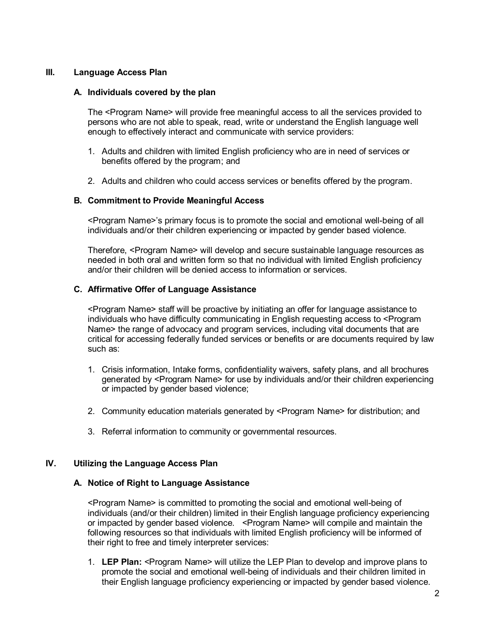#### **III. Language Access Plan**

#### **A. Individuals covered by the plan**

The <Program Name> will provide free meaningful access to all the services provided to persons who are not able to speak, read, write or understand the English language well enough to effectively interact and communicate with service providers:

- 1. Adults and children with limited English proficiency who are in need of services or benefits offered by the program; and
- 2. Adults and children who could access services or benefits offered by the program.

#### **B. Commitment to Provide Meaningful Access**

<Program Name>'s primary focus is to promote the social and emotional well-being of all individuals and/or their children experiencing or impacted by gender based violence.

Therefore, <Program Name> will develop and secure sustainable language resources as needed in both oral and written form so that no individual with limited English proficiency and/or their children will be denied access to information or services.

#### **C. Affirmative Offer of Language Assistance**

<Program Name> staff will be proactive by initiating an offer for language assistance to individuals who have difficulty communicating in English requesting access to <Program Name> the range of advocacy and program services, including vital documents that are critical for accessing federally funded services or benefits or are documents required by law such as:

- 1. Crisis information, Intake forms, confidentiality waivers, safety plans, and all brochures generated by <Program Name> for use by individuals and/or their children experiencing or impacted by gender based violence;
- 2. Community education materials generated by <Program Name> for distribution; and
- 3. Referral information to community or governmental resources.

#### **IV. Utilizing the Language Access Plan**

#### **A. Notice of Right to Language Assistance**

<Program Name> is committed to promoting the social and emotional well-being of individuals (and/or their children) limited in their English language proficiency experiencing or impacted by gender based violence. <Program Name> will compile and maintain the following resources so that individuals with limited English proficiency will be informed of their right to free and timely interpreter services:

1. **LEP Plan:** <Program Name> will utilize the LEP Plan to develop and improve plans to promote the social and emotional well-being of individuals and their children limited in their English language proficiency experiencing or impacted by gender based violence.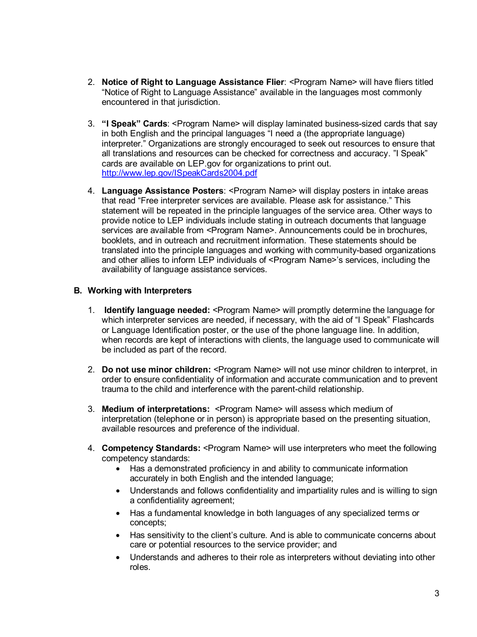- 2. **Notice of Right to Language Assistance Flier**: <Program Name> will have fliers titled "Notice of Right to Language Assistance" available in the languages most commonly encountered in that jurisdiction.
- 3. **"I Speak" Cards**: <Program Name> will display laminated business-sized cards that say in both English and the principal languages "I need a (the appropriate language) interpreter." Organizations are strongly encouraged to seek out resources to ensure that all translations and resources can be checked for correctness and accuracy. "I Speak" cards are available on LEP.gov for organizations to print out. <http://www.lep.gov/ISpeakCards2004.pdf>
- 4. **Language Assistance Posters**: <Program Name> will display posters in intake areas that read "Free interpreter services are available. Please ask for assistance." This statement will be repeated in the principle languages of the service area. Other ways to provide notice to LEP individuals include stating in outreach documents that language services are available from <Program Name>. Announcements could be in brochures, booklets, and in outreach and recruitment information. These statements should be translated into the principle languages and working with community-based organizations and other allies to inform LEP individuals of <Program Name>'s services, including the availability of language assistance services.

# **B. Working with Interpreters**

- 1. **Identify language needed:** <Program Name> will promptly determine the language for which interpreter services are needed, if necessary, with the aid of "I Speak" Flashcards or Language Identification poster, or the use of the phone language line. In addition, when records are kept of interactions with clients, the language used to communicate will be included as part of the record.
- 2. **Do not use minor children:** <Program Name> will not use minor children to interpret, in order to ensure confidentiality of information and accurate communication and to prevent trauma to the child and interference with the parent-child relationship.
- 3. **Medium of interpretations:** <Program Name> will assess which medium of interpretation (telephone or in person) is appropriate based on the presenting situation, available resources and preference of the individual.
- 4. **Competency Standards:** <Program Name> will use interpreters who meet the following competency standards:
	- Has a demonstrated proficiency in and ability to communicate information accurately in both English and the intended language;
	- Understands and follows confidentiality and impartiality rules and is willing to sign a confidentiality agreement;
	- Has a fundamental knowledge in both languages of any specialized terms or concepts;
	- Has sensitivity to the client's culture. And is able to communicate concerns about care or potential resources to the service provider; and
	- Understands and adheres to their role as interpreters without deviating into other roles.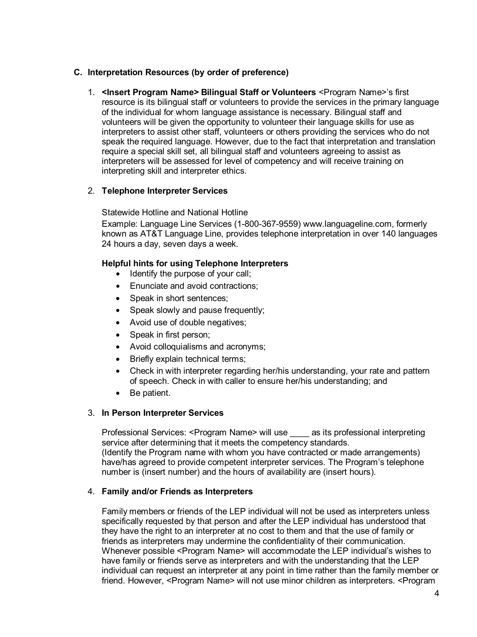# **C. Interpretation Resources (by order of preference)**

1. **<Insert Program Name> Bilingual Staff or Volunteers** <Program Name>'s first resource is its bilingual staff or volunteers to provide the services in the primary language of the individual for whom language assistance is necessary. Bilingual staff and volunteers will be given the opportunity to volunteer their language skills for use as interpreters to assist other staff, volunteers or others providing the services who do not speak the required language. However, due to the fact that interpretation and translation require a special skill set, all bilingual staff and volunteers agreeing to assist as interpreters will be assessed for level of competency and will receive training on interpreting skill and interpreter ethics.

## 2. **Telephone Interpreter Services**

Statewide Hotline and National Hotline

Example: Language Line Services (1-800-367-9559) www.languageline.com, formerly known as AT&T Language Line, provides telephone interpretation in over 140 languages 24 hours a day, seven days a week.

#### **Helpful hints for using Telephone Interpreters**

- Identify the purpose of your call;
- Enunciate and avoid contractions;
- Speak in short sentences:
- Speak slowly and pause frequently;
- Avoid use of double negatives;
- Speak in first person;
- Avoid colloquialisms and acronyms;
- Briefly explain technical terms;
- Check in with interpreter regarding her/his understanding, your rate and pattern of speech. Check in with caller to ensure her/his understanding; and
- Be patient.

#### 3. **In Person Interpreter Services**

Professional Services: <Program Name> will use as its professional interpreting service after determining that it meets the competency standards. (Identify the Program name with whom you have contracted or made arrangements) have/has agreed to provide competent interpreter services. The Program's telephone number is (insert number) and the hours of availability are (insert hours).

## 4. **Family and/or Friends as Interpreters**

Family members or friends of the LEP individual will not be used as interpreters unless specifically requested by that person and after the LEP individual has understood that they have the right to an interpreter at no cost to them and that the use of family or friends as interpreters may undermine the confidentiality of their communication. Whenever possible <Program Name> will accommodate the LEP individual's wishes to have family or friends serve as interpreters and with the understanding that the LEP individual can request an interpreter at any point in time rather than the family member or friend. However, <Program Name> will not use minor children as interpreters. <Program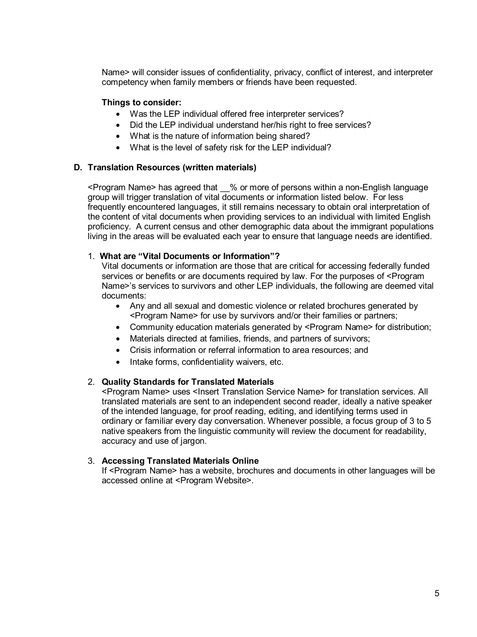Name> will consider issues of confidentiality, privacy, conflict of interest, and interpreter competency when family members or friends have been requested.

## **Things to consider:**

- Was the LEP individual offered free interpreter services?
- Did the LEP individual understand her/his right to free services?
- What is the nature of information being shared?
- What is the level of safety risk for the LEP individual?

#### **D. Translation Resources (written materials)**

<Program Name> has agreed that \_\_% or more of persons within a non-English language group will trigger translation of vital documents or information listed below. For less frequently encountered languages, it still remains necessary to obtain oral interpretation of the content of vital documents when providing services to an individual with limited English proficiency. A current census and other demographic data about the immigrant populations living in the areas will be evaluated each year to ensure that language needs are identified.

#### 1. **What are "Vital Documents or Information"?**

Vital documents or information are those that are critical for accessing federally funded services or benefits or are documents required by law. For the purposes of <Program Name>'s services to survivors and other LEP individuals, the following are deemed vital documents:

- Any and all sexual and domestic violence or related brochures generated by <Program Name> for use by survivors and/or their families or partners;
- Community education materials generated by <Program Name> for distribution;
- Materials directed at families, friends, and partners of survivors;
- Crisis information or referral information to area resources; and
- Intake forms, confidentiality waivers, etc.

#### 2. **Quality Standards for Translated Materials**

<Program Name> uses <Insert Translation Service Name> for translation services. All translated materials are sent to an independent second reader, ideally a native speaker of the intended language, for proof reading, editing, and identifying terms used in ordinary or familiar every day conversation. Whenever possible, a focus group of 3 to 5 native speakers from the linguistic community will review the document for readability, accuracy and use of jargon.

#### 3. **Accessing Translated Materials Online**

If <Program Name> has a website, brochures and documents in other languages will be accessed online at <Program Website>.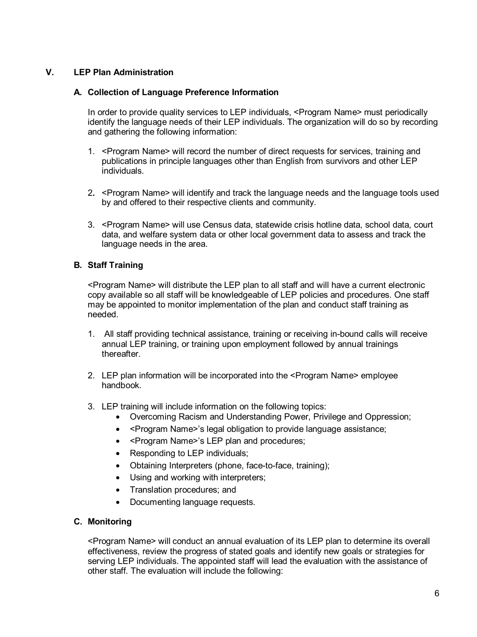# **V. LEP Plan Administration**

### **A. Collection of Language Preference Information**

In order to provide quality services to LEP individuals, <Program Name> must periodically identify the language needs of their LEP individuals. The organization will do so by recording and gathering the following information:

- 1. <Program Name> will record the number of direct requests for services, training and publications in principle languages other than English from survivors and other LEP individuals.
- 2**.** <Program Name> will identify and track the language needs and the language tools used by and offered to their respective clients and community.
- 3. <Program Name> will use Census data, statewide crisis hotline data, school data, court data, and welfare system data or other local government data to assess and track the language needs in the area.

## **B. Staff Training**

<Program Name> will distribute the LEP plan to all staff and will have a current electronic copy available so all staff will be knowledgeable of LEP policies and procedures. One staff may be appointed to monitor implementation of the plan and conduct staff training as needed.

- 1. All staff providing technical assistance, training or receiving in-bound calls will receive annual LEP training, or training upon employment followed by annual trainings thereafter.
- 2. LEP plan information will be incorporated into the <Program Name> employee handbook.
- 3. LEP training will include information on the following topics:
	- Overcoming Racism and Understanding Power, Privilege and Oppression;
	- <Program Name>'s legal obligation to provide language assistance;
	- <Program Name>'s LEP plan and procedures;
	- Responding to LEP individuals;
	- Obtaining Interpreters (phone, face-to-face, training);
	- Using and working with interpreters;
	- Translation procedures; and
	- Documenting language requests.

## **C. Monitoring**

<Program Name> will conduct an annual evaluation of its LEP plan to determine its overall effectiveness, review the progress of stated goals and identify new goals or strategies for serving LEP individuals. The appointed staff will lead the evaluation with the assistance of other staff. The evaluation will include the following: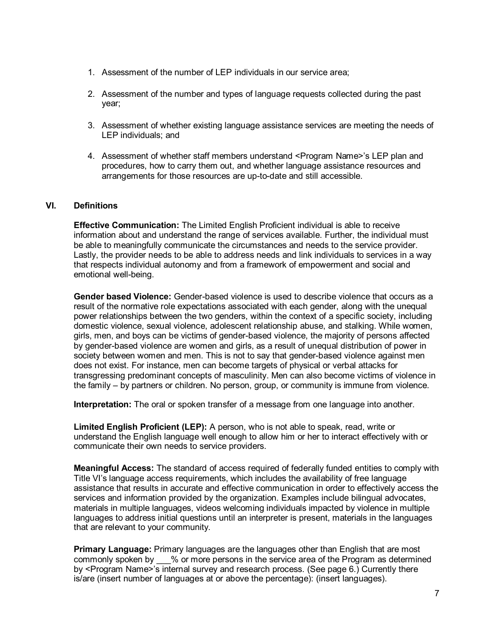- 1. Assessment of the number of LEP individuals in our service area;
- 2. Assessment of the number and types of language requests collected during the past year;
- 3. Assessment of whether existing language assistance services are meeting the needs of LEP individuals; and
- 4. Assessment of whether staff members understand <Program Name>'s LEP plan and procedures, how to carry them out, and whether language assistance resources and arrangements for those resources are up-to-date and still accessible.

## **VI. Definitions**

**Effective Communication:** The Limited English Proficient individual is able to receive information about and understand the range of services available. Further, the individual must be able to meaningfully communicate the circumstances and needs to the service provider. Lastly, the provider needs to be able to address needs and link individuals to services in a way that respects individual autonomy and from a framework of empowerment and social and emotional well-being.

**Gender based Violence:** Gender-based violence is used to describe violence that occurs as a result of the normative role expectations associated with each gender, along with the unequal power relationships between the two genders, within the context of a specific society, including domestic violence, sexual violence, adolescent relationship abuse, and stalking. While women, girls, men, and boys can be victims of gender-based violence, the majority of persons affected by gender-based violence are women and girls, as a result of unequal distribution of power in society between women and men. This is not to say that gender-based violence against men does not exist. For instance, men can become targets of physical or verbal attacks for transgressing predominant concepts of masculinity. Men can also become victims of violence in the family – by partners or children. No person, group, or community is immune from violence.

**Interpretation:** The oral or spoken transfer of a message from one language into another.

**Limited English Proficient (LEP):** A person, who is not able to speak, read, write or understand the English language well enough to allow him or her to interact effectively with or communicate their own needs to service providers.

**Meaningful Access:** The standard of access required of federally funded entities to comply with Title VI's language access requirements, which includes the availability of free language assistance that results in accurate and effective communication in order to effectively access the services and information provided by the organization. Examples include bilingual advocates, materials in multiple languages, videos welcoming individuals impacted by violence in multiple languages to address initial questions until an interpreter is present, materials in the languages that are relevant to your community.

**Primary Language:** Primary languages are the languages other than English that are most commonly spoken by \_\_\_% or more persons in the service area of the Program as determined by <Program Name>'s internal survey and research process. (See page 6.) Currently there is/are (insert number of languages at or above the percentage): (insert languages).